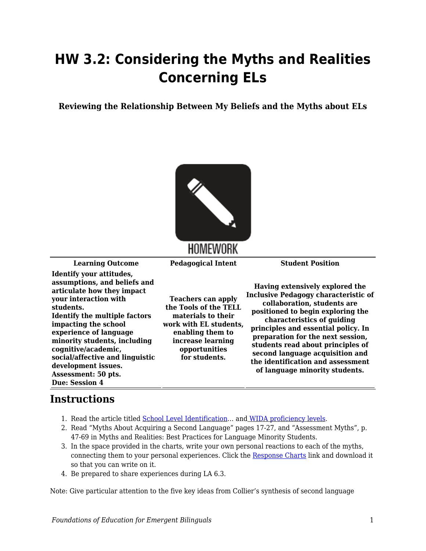## **HW 3.2: Considering the Myths and Realities Concerning ELs**

**Reviewing the Relationship Between My Beliefs and the Myths about ELs**



## HOMEWORK

**Learning Outcome Pedagogical Intent Student Position**

**Identify your attitudes, assumptions, and beliefs and articulate how they impact your interaction with students. Identify the multiple factors impacting the school experience of language minority students, including cognitive/academic, social/affective and linguistic development issues. Assessment: 50 pts. Due: Session 4**

**Teachers can apply the Tools of the TELL materials to their work with EL students, enabling them to increase learning opportunities for students.**

**Having extensively explored the Inclusive Pedagogy characteristic of collaboration, students are positioned to begin exploring the characteristics of guiding principles and essential policy. In preparation for the next session, students read about principles of second language acquisition and the identification and assessment of language minority students.**

## **Instructions**

- 1. Read the article titled [School Level Identification](https://byu.box.com/s/k3obm9amxrfkhchs4aoelwjjt50jker7)… and [WIDA proficiency levels.](https://byu.box.com/s/6fz9o21q02vb6ifnopocd8qar242gl74)
- 2. Read "Myths About Acquiring a Second Language" pages 17-27, and "Assessment Myths", p. 47-69 in Myths and Realities: Best Practices for Language Minority Students.
- 3. In the space provided in the charts, write your own personal reactions to each of the myths, connecting them to your personal experiences. Click the [Response Charts](https://byu.box.com/s/mno16xqg1v5qspjs0bu5r44au5q58dq5) link and download it so that you can write on it.
- 4. Be prepared to share experiences during LA 6.3.

Note: Give particular attention to the five key ideas from Collier's synthesis of second language